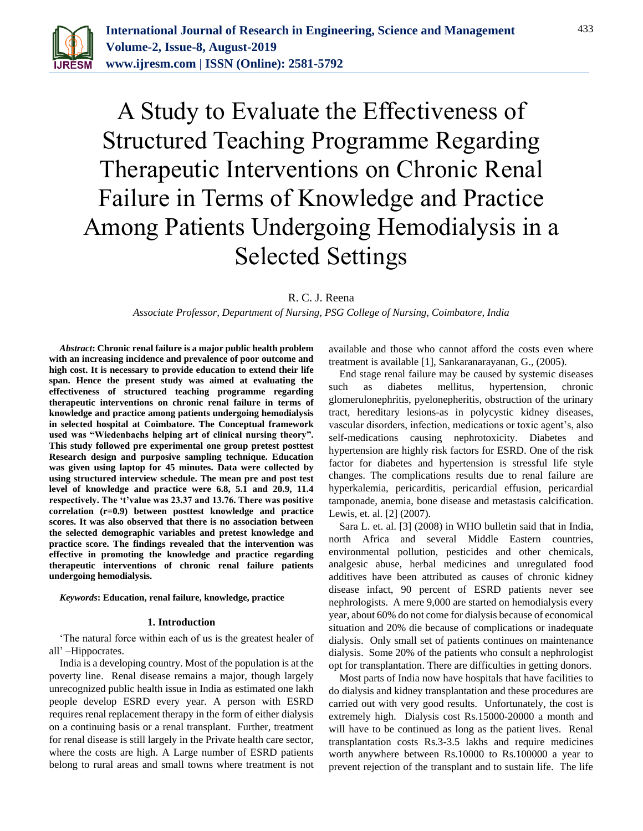

# A Study to Evaluate the Effectiveness of Structured Teaching Programme Regarding Therapeutic Interventions on Chronic Renal Failure in Terms of Knowledge and Practice Among Patients Undergoing Hemodialysis in a Selected Settings

R. C. J. Reena

*Associate Professor, Department of Nursing, PSG College of Nursing, Coimbatore, India*

*Abstract***: Chronic renal failure is a major public health problem with an increasing incidence and prevalence of poor outcome and high cost. It is necessary to provide education to extend their life span. Hence the present study was aimed at evaluating the effectiveness of structured teaching programme regarding therapeutic interventions on chronic renal failure in terms of knowledge and practice among patients undergoing hemodialysis in selected hospital at Coimbatore. The Conceptual framework used was "Wiedenbachs helping art of clinical nursing theory". This study followed pre experimental one group pretest posttest Research design and purposive sampling technique. Education was given using laptop for 45 minutes. Data were collected by using structured interview schedule. The mean pre and post test level of knowledge and practice were 6.8, 5.1 and 20.9, 11.4 respectively. The 't'value was 23.37 and 13.76. There was positive correlation (r=0.9) between posttest knowledge and practice scores. It was also observed that there is no association between the selected demographic variables and pretest knowledge and practice score. The findings revealed that the intervention was effective in promoting the knowledge and practice regarding therapeutic interventions of chronic renal failure patients undergoing hemodialysis.**

#### *Keywords***: Education, renal failure, knowledge, practice**

#### **1. Introduction**

'The natural force within each of us is the greatest healer of all' –Hippocrates.

India is a developing country. Most of the population is at the poverty line. Renal disease remains a major, though largely unrecognized public health issue in India as estimated one lakh people develop ESRD every year. A person with ESRD requires renal replacement therapy in the form of either dialysis on a continuing basis or a renal transplant. Further, treatment for renal disease is still largely in the Private health care sector, where the costs are high. A Large number of ESRD patients belong to rural areas and small towns where treatment is not available and those who cannot afford the costs even where treatment is available [1], Sankaranarayanan, G., (2005).

End stage renal failure may be caused by systemic diseases such as diabetes mellitus, hypertension, chronic glomerulonephritis, pyelonepheritis, obstruction of the urinary tract, hereditary lesions-as in polycystic kidney diseases, vascular disorders, infection, medications or toxic agent's, also self-medications causing nephrotoxicity. Diabetes and hypertension are highly risk factors for ESRD. One of the risk factor for diabetes and hypertension is stressful life style changes. The complications results due to renal failure are hyperkalemia, pericarditis, pericardial effusion, pericardial tamponade, anemia, bone disease and metastasis calcification. Lewis, et. al. [2] (2007).

Sara L. et. al. [3] (2008) in WHO bulletin said that in India, north Africa and several Middle Eastern countries, environmental pollution, pesticides and other chemicals, analgesic abuse, herbal medicines and unregulated food additives have been attributed as causes of chronic kidney disease infact, 90 percent of ESRD patients never see nephrologists. A mere 9,000 are started on hemodialysis every year, about 60% do not come for dialysis because of economical situation and 20% die because of complications or inadequate dialysis. Only small set of patients continues on maintenance dialysis. Some 20% of the patients who consult a nephrologist opt for transplantation. There are difficulties in getting donors.

Most parts of India now have hospitals that have facilities to do dialysis and kidney transplantation and these procedures are carried out with very good results. Unfortunately, the cost is extremely high. Dialysis cost Rs.15000-20000 a month and will have to be continued as long as the patient lives. Renal transplantation costs Rs.3-3.5 lakhs and require medicines worth anywhere between Rs.10000 to Rs.100000 a year to prevent rejection of the transplant and to sustain life. The life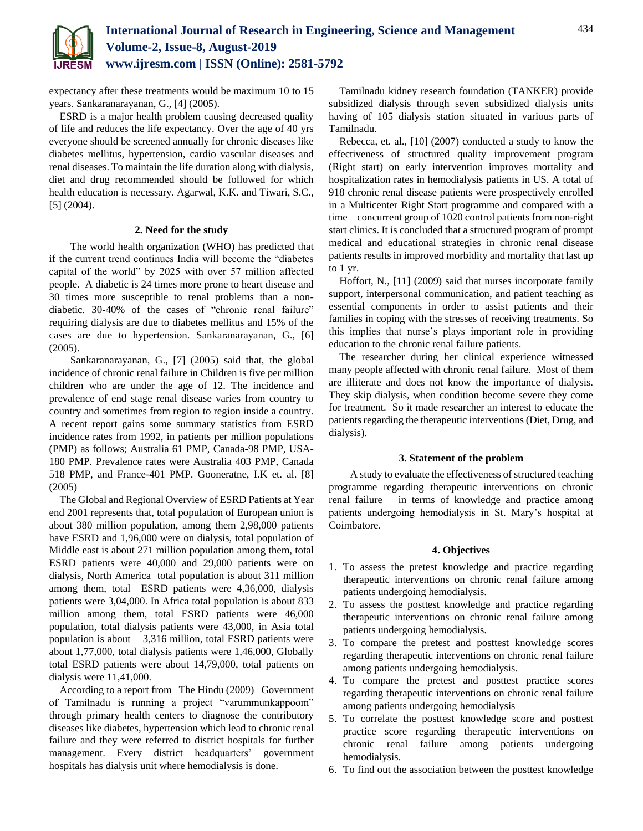expectancy after these treatments would be maximum 10 to 15 years. Sankaranarayanan, G., [4] (2005).

ESRD is a major health problem causing decreased quality of life and reduces the life expectancy. Over the age of 40 yrs everyone should be screened annually for chronic diseases like diabetes mellitus, hypertension, cardio vascular diseases and renal diseases. To maintain the life duration along with dialysis, diet and drug recommended should be followed for which health education is necessary. Agarwal, K.K. and Tiwari, S.C., [5] (2004).

#### **2. Need for the study**

The world health organization (WHO) has predicted that if the current trend continues India will become the "diabetes capital of the world" by 2025 with over 57 million affected people. A diabetic is 24 times more prone to heart disease and 30 times more susceptible to renal problems than a nondiabetic. 30-40% of the cases of "chronic renal failure" requiring dialysis are due to diabetes mellitus and 15% of the cases are due to hypertension. Sankaranarayanan, G., [6] (2005).

Sankaranarayanan, G., [7] (2005) said that, the global incidence of chronic renal failure in Children is five per million children who are under the age of 12. The incidence and prevalence of end stage renal disease varies from country to country and sometimes from region to region inside a country. A recent report gains some summary statistics from ESRD incidence rates from 1992, in patients per million populations (PMP) as follows; Australia 61 PMP, Canada-98 PMP, USA-180 PMP. Prevalence rates were Australia 403 PMP, Canada 518 PMP, and France-401 PMP. Gooneratne, I.K et. al. [8] (2005)

The Global and Regional Overview of ESRD Patients at Year end 2001 represents that, total population of European union is about 380 million population, among them 2,98,000 patients have ESRD and 1,96,000 were on dialysis, total population of Middle east is about 271 million population among them, total ESRD patients were 40,000 and 29,000 patients were on dialysis, North America total population is about 311 million among them, total ESRD patients were 4,36,000, dialysis patients were 3,04,000. In Africa total population is about 833 million among them, total ESRD patients were 46,000 population, total dialysis patients were 43,000, in Asia total population is about 3,316 million, total ESRD patients were about 1,77,000, total dialysis patients were 1,46,000, Globally total ESRD patients were about 14,79,000, total patients on dialysis were 11,41,000.

According to a report from The Hindu (2009) Government of Tamilnadu is running a project "varummunkappoom" through primary health centers to diagnose the contributory diseases like diabetes, hypertension which lead to chronic renal failure and they were referred to district hospitals for further management. Every district headquarters' government hospitals has dialysis unit where hemodialysis is done.

Tamilnadu kidney research foundation (TANKER) provide subsidized dialysis through seven subsidized dialysis units having of 105 dialysis station situated in various parts of Tamilnadu.

Rebecca, et. al., [10] (2007) conducted a study to know the effectiveness of structured quality improvement program (Right start) on early intervention improves mortality and hospitalization rates in hemodialysis patients in US. A total of 918 chronic renal disease patients were prospectively enrolled in a Multicenter Right Start programme and compared with a time – concurrent group of 1020 control patients from non-right start clinics. It is concluded that a structured program of prompt medical and educational strategies in chronic renal disease patients results in improved morbidity and mortality that last up to 1 yr.

Hoffort, N., [11] (2009) said that nurses incorporate family support, interpersonal communication, and patient teaching as essential components in order to assist patients and their families in coping with the stresses of receiving treatments. So this implies that nurse's plays important role in providing education to the chronic renal failure patients.

The researcher during her clinical experience witnessed many people affected with chronic renal failure. Most of them are illiterate and does not know the importance of dialysis. They skip dialysis, when condition become severe they come for treatment. So it made researcher an interest to educate the patients regarding the therapeutic interventions (Diet, Drug, and dialysis).

## **3. Statement of the problem**

A study to evaluate the effectiveness of structured teaching programme regarding therapeutic interventions on chronic renal failure in terms of knowledge and practice among patients undergoing hemodialysis in St. Mary's hospital at Coimbatore.

## **4. Objectives**

- 1. To assess the pretest knowledge and practice regarding therapeutic interventions on chronic renal failure among patients undergoing hemodialysis.
- 2. To assess the posttest knowledge and practice regarding therapeutic interventions on chronic renal failure among patients undergoing hemodialysis.
- 3. To compare the pretest and posttest knowledge scores regarding therapeutic interventions on chronic renal failure among patients undergoing hemodialysis.
- 4. To compare the pretest and posttest practice scores regarding therapeutic interventions on chronic renal failure among patients undergoing hemodialysis
- 5. To correlate the posttest knowledge score and posttest practice score regarding therapeutic interventions on chronic renal failure among patients undergoing hemodialysis.
- 6. To find out the association between the posttest knowledge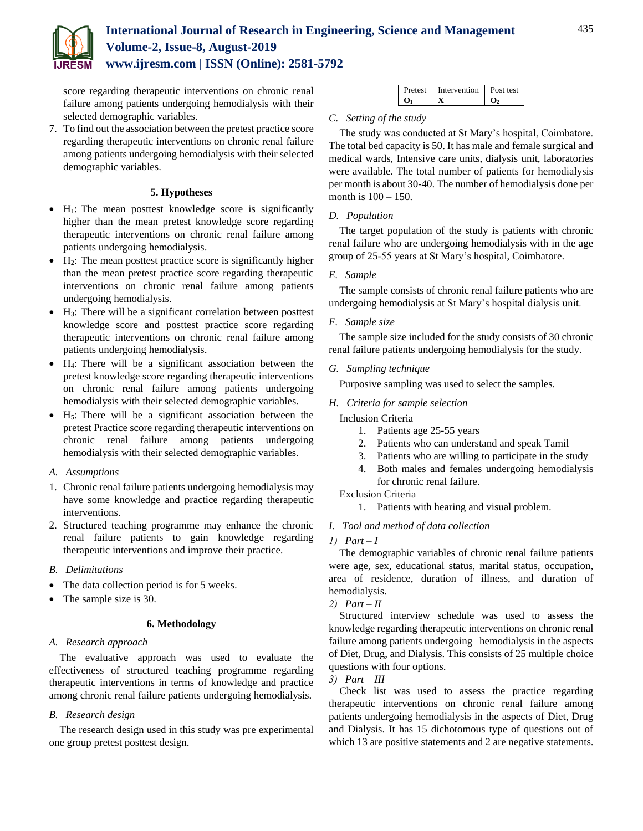

## **International Journal of Research in Engineering, Science and Management Volume-2, Issue-8, August-2019 www.ijresm.com | ISSN (Online): 2581-5792**

score regarding therapeutic interventions on chronic renal failure among patients undergoing hemodialysis with their selected demographic variables.

7. To find out the association between the pretest practice score regarding therapeutic interventions on chronic renal failure among patients undergoing hemodialysis with their selected demographic variables.

## **5. Hypotheses**

- $\bullet$  H<sub>1</sub>: The mean posttest knowledge score is significantly higher than the mean pretest knowledge score regarding therapeutic interventions on chronic renal failure among patients undergoing hemodialysis.
- $\bullet$  H<sub>2</sub>: The mean posttest practice score is significantly higher than the mean pretest practice score regarding therapeutic interventions on chronic renal failure among patients undergoing hemodialysis.
- $\bullet$  H<sub>3</sub>: There will be a significant correlation between posttest knowledge score and posttest practice score regarding therapeutic interventions on chronic renal failure among patients undergoing hemodialysis.
- H4: There will be a significant association between the pretest knowledge score regarding therapeutic interventions on chronic renal failure among patients undergoing hemodialysis with their selected demographic variables.
- $\bullet$  H<sub>5</sub>: There will be a significant association between the pretest Practice score regarding therapeutic interventions on chronic renal failure among patients undergoing hemodialysis with their selected demographic variables.

## *A. Assumptions*

- 1. Chronic renal failure patients undergoing hemodialysis may have some knowledge and practice regarding therapeutic interventions.
- 2. Structured teaching programme may enhance the chronic renal failure patients to gain knowledge regarding therapeutic interventions and improve their practice.

## *B. Delimitations*

- The data collection period is for 5 weeks.
- The sample size is 30.

#### **6. Methodology**

## *A. Research approach*

The evaluative approach was used to evaluate the effectiveness of structured teaching programme regarding therapeutic interventions in terms of knowledge and practice among chronic renal failure patients undergoing hemodialysis.

## *B. Research design*

The research design used in this study was pre experimental one group pretest posttest design.

| Pretest | Intervention | Post test |
|---------|--------------|-----------|
|         |              |           |

## *C. Setting of the study*

The study was conducted at St Mary's hospital, Coimbatore. The total bed capacity is 50. It has male and female surgical and medical wards, Intensive care units, dialysis unit, laboratories were available. The total number of patients for hemodialysis per month is about 30-40. The number of hemodialysis done per month is 100 – 150.

## *D. Population*

The target population of the study is patients with chronic renal failure who are undergoing hemodialysis with in the age group of 25-55 years at St Mary's hospital, Coimbatore.

#### *E. Sample*

The sample consists of chronic renal failure patients who are undergoing hemodialysis at St Mary's hospital dialysis unit.

## *F. Sample size*

The sample size included for the study consists of 30 chronic renal failure patients undergoing hemodialysis for the study.

#### *G. Sampling technique*

Purposive sampling was used to select the samples.

*H. Criteria for sample selection* 

Inclusion Criteria

- 1. Patients age 25-55 years
- 2. Patients who can understand and speak Tamil
- 3. Patients who are willing to participate in the study
- 4. Both males and females undergoing hemodialysis for chronic renal failure.

Exclusion Criteria

1. Patients with hearing and visual problem.

## *I. Tool and method of data collection*

*1) Part – I* 

The demographic variables of chronic renal failure patients were age, sex, educational status, marital status, occupation, area of residence, duration of illness, and duration of hemodialysis.

## *2) Part – II*

Structured interview schedule was used to assess the knowledge regarding therapeutic interventions on chronic renal failure among patients undergoing hemodialysis in the aspects of Diet, Drug, and Dialysis. This consists of 25 multiple choice questions with four options.

#### *3) Part – III*

Check list was used to assess the practice regarding therapeutic interventions on chronic renal failure among patients undergoing hemodialysis in the aspects of Diet, Drug and Dialysis. It has 15 dichotomous type of questions out of which 13 are positive statements and 2 are negative statements.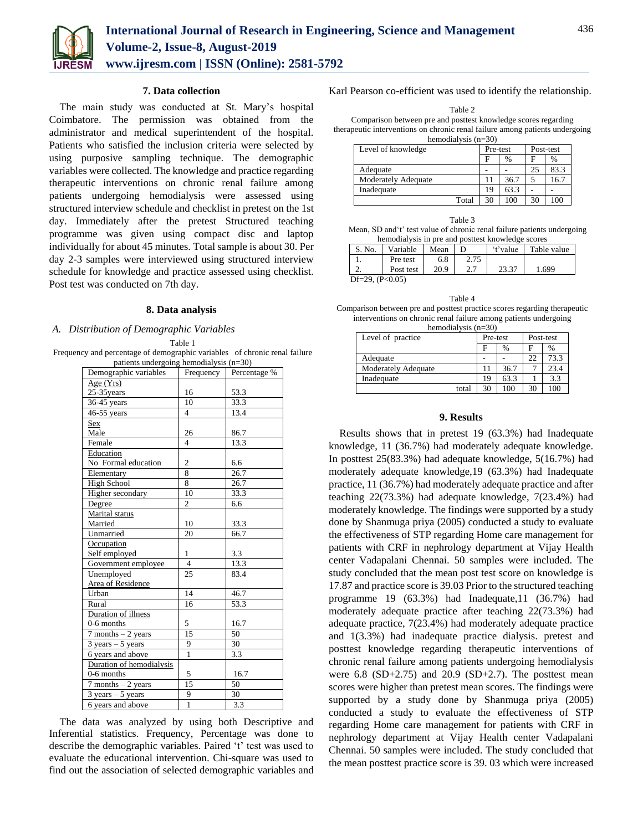

#### **7. Data collection**

The main study was conducted at St. Mary's hospital Coimbatore. The permission was obtained from the administrator and medical superintendent of the hospital. Patients who satisfied the inclusion criteria were selected by using purposive sampling technique. The demographic variables were collected. The knowledge and practice regarding therapeutic interventions on chronic renal failure among patients undergoing hemodialysis were assessed using structured interview schedule and checklist in pretest on the 1st day. Immediately after the pretest Structured teaching programme was given using compact disc and laptop individually for about 45 minutes. Total sample is about 30. Per day 2-3 samples were interviewed using structured interview schedule for knowledge and practice assessed using checklist. Post test was conducted on 7th day.

#### **8. Data analysis**

#### *A. Distribution of Demographic Variables*

Table 1

Frequency and percentage of demographic variables of chronic renal failure patients undergoing hemodialysis (n=30)

| Demographic variables               | Frequency               | Percentage %      |  |  |
|-------------------------------------|-------------------------|-------------------|--|--|
| Age $(Yrs)$                         |                         |                   |  |  |
| 25-35years                          | 16                      | 53.3              |  |  |
| 36-45 years                         | 10                      | 33.3              |  |  |
| 46-55 years                         | $\overline{\mathbf{4}}$ | 13.4              |  |  |
| Sex                                 |                         |                   |  |  |
| Male                                | 26                      | 86.7              |  |  |
| Female                              | $\overline{\mathbf{A}}$ | 13.3              |  |  |
| Education                           |                         |                   |  |  |
| No Formal education                 | $\overline{c}$          | 6.6               |  |  |
| Elementary                          | 8                       | 26.7              |  |  |
| <b>High School</b>                  | 8                       | 26.7              |  |  |
| <b>Higher</b> secondary             | 10                      | 33.3              |  |  |
| Degree                              | $\overline{c}$          | 6.6               |  |  |
| Marital status                      |                         |                   |  |  |
| Married                             | 10                      | 33.3              |  |  |
| Unmarried                           | 20                      | 66.7              |  |  |
| Occupation                          |                         |                   |  |  |
| Self employed                       | 1                       | 3.3               |  |  |
| Government employee                 | $\overline{4}$          | 13.3              |  |  |
| Unemployed                          | 25                      | 83.4              |  |  |
| Area of Residence                   |                         |                   |  |  |
| Urban                               | 14                      | 46.7              |  |  |
| Rural                               | 16                      | $\overline{53.3}$ |  |  |
| Duration of illness                 |                         |                   |  |  |
| $0-6$ months                        | 5                       | 16.7              |  |  |
| $7$ months $-2$ years               | 15                      | 50                |  |  |
| $3 \text{ years} - 5 \text{ years}$ | 9                       | 30                |  |  |
| 6 years and above                   | $\mathbf{1}$            | 3.3               |  |  |
| Duration of hemodialysis            |                         |                   |  |  |
| 0-6 months                          | 5                       | 16.7              |  |  |
| $7$ months $-2$ years               | 15                      | 50                |  |  |
| $3 \text{ years} - 5 \text{ years}$ | 9                       | 30                |  |  |
| 6 years and above                   | $\mathbf{1}$            | 3.3               |  |  |

The data was analyzed by using both Descriptive and Inferential statistics. Frequency, Percentage was done to describe the demographic variables. Paired 't' test was used to evaluate the educational intervention. Chi-square was used to find out the association of selected demographic variables and

Karl Pearson co-efficient was used to identify the relationship.

Comparison between pre and posttest knowledge scores regarding therapeutic interventions on chronic renal failure among patients undergoing hemodialysis (n=30)

| Level of knowledge         | Pre-test |      | Post-test |      |
|----------------------------|----------|------|-----------|------|
|                            | F        | $\%$ | F         | %    |
| Adequate                   |          |      | 25        | 83.3 |
| <b>Moderately Adequate</b> |          | 36.7 |           | 16.  |
| Inadequate                 | 19       | 63.3 |           |      |
| Total                      | 30       | 100  | 30        | 100  |

| Table 3                                                                 |
|-------------------------------------------------------------------------|
| Mean, SD and't' test value of chronic renal failure patients undergoing |
| hemodialysis in pre and posttest knowledge scores                       |

| S. No.            | Variable  | Mean |      | 't'value | Table value |
|-------------------|-----------|------|------|----------|-------------|
|                   | Pre test  | 6.8  | 2.75 |          |             |
|                   | Post test | 20.9 |      | 23.37    | .699        |
| Df=29. $(P<0.05)$ |           |      |      |          |             |

| Table 4                                                                   |
|---------------------------------------------------------------------------|
| Comparison between pre and posttest practice scores regarding therapeutic |
| interventions on chronic renal failure among patients undergoing          |
|                                                                           |

| hemodialysis $(n=30)$      |          |      |           |      |  |  |
|----------------------------|----------|------|-----------|------|--|--|
| Level of practice          | Pre-test |      | Post-test |      |  |  |
|                            | F        | %    | F         | %    |  |  |
| Adequate                   |          |      | 22        | 73.3 |  |  |
| <b>Moderately Adequate</b> |          | 36.7 |           | 23.4 |  |  |
| Inadequate                 | 19       | 63.3 |           | 3.3  |  |  |
| total                      | 30       | 100  | 30        | 100  |  |  |

#### **9. Results**

Results shows that in pretest 19 (63.3%) had Inadequate knowledge, 11 (36.7%) had moderately adequate knowledge. In posttest 25(83.3%) had adequate knowledge, 5(16.7%) had moderately adequate knowledge,19 (63.3%) had Inadequate practice, 11 (36.7%) had moderately adequate practice and after teaching 22(73.3%) had adequate knowledge, 7(23.4%) had moderately knowledge. The findings were supported by a study done by Shanmuga priya (2005) conducted a study to evaluate the effectiveness of STP regarding Home care management for patients with CRF in nephrology department at Vijay Health center Vadapalani Chennai. 50 samples were included. The study concluded that the mean post test score on knowledge is 17.87 and practice score is 39.03 Prior to the structured teaching programme 19 (63.3%) had Inadequate,11 (36.7%) had moderately adequate practice after teaching 22(73.3%) had adequate practice, 7(23.4%) had moderately adequate practice and 1(3.3%) had inadequate practice dialysis. pretest and posttest knowledge regarding therapeutic interventions of chronic renal failure among patients undergoing hemodialysis were  $6.8$  (SD+2.75) and  $20.9$  (SD+2.7). The posttest mean scores were higher than pretest mean scores. The findings were supported by a study done by Shanmuga priya (2005) conducted a study to evaluate the effectiveness of STP regarding Home care management for patients with CRF in nephrology department at Vijay Health center Vadapalani Chennai. 50 samples were included. The study concluded that the mean posttest practice score is 39. 03 which were increased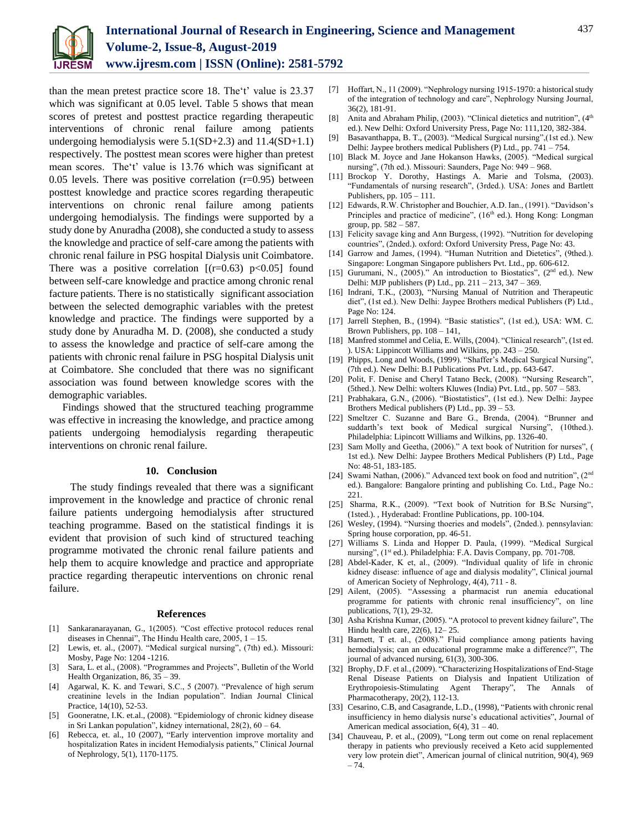

than the mean pretest practice score 18. The't' value is 23.37 which was significant at 0.05 level. Table 5 shows that mean scores of pretest and posttest practice regarding therapeutic interventions of chronic renal failure among patients undergoing hemodialysis were  $5.1(SD+2.3)$  and  $11.4(SD+1.1)$ respectively. The posttest mean scores were higher than pretest mean scores. The't' value is 13.76 which was significant at 0.05 levels. There was positive correlation  $(r=0.95)$  between posttest knowledge and practice scores regarding therapeutic interventions on chronic renal failure among patients undergoing hemodialysis. The findings were supported by a study done by Anuradha (2008), she conducted a study to assess the knowledge and practice of self-care among the patients with chronic renal failure in PSG hospital Dialysis unit Coimbatore. There was a positive correlation  $[(r=0.63) \text{ p} < 0.05]$  found between self-care knowledge and practice among chronic renal facture patients. There is no statistically significant association between the selected demographic variables with the pretest knowledge and practice. The findings were supported by a study done by Anuradha M. D. (2008), she conducted a study to assess the knowledge and practice of self-care among the patients with chronic renal failure in PSG hospital Dialysis unit at Coimbatore. She concluded that there was no significant association was found between knowledge scores with the demographic variables.

Findings showed that the structured teaching programme was effective in increasing the knowledge, and practice among patients undergoing hemodialysis regarding therapeutic interventions on chronic renal failure.

#### **10. Conclusion**

The study findings revealed that there was a significant improvement in the knowledge and practice of chronic renal failure patients undergoing hemodialysis after structured teaching programme. Based on the statistical findings it is evident that provision of such kind of structured teaching programme motivated the chronic renal failure patients and help them to acquire knowledge and practice and appropriate practice regarding therapeutic interventions on chronic renal failure.

#### **References**

- [1] Sankaranarayanan, G., 1(2005). "Cost effective protocol reduces renal diseases in Chennai", The Hindu Health care, 2005, 1 – 15.
- [2] Lewis, et. al., (2007). "Medical surgical nursing", (7th) ed.). Missouri: Mosby, Page No: 1204 -1216.
- [3] Sara, L. et al., (2008). "Programmes and Projects", Bulletin of the World Health Organization, 86, 35 – 39.
- [4] Agarwal, K. K. and Tewari, S.C., 5 (2007). "Prevalence of high serum creatinine levels in the Indian population". Indian Journal Clinical Practice, 14(10), 52-53.
- [5] Gooneratne, I.K. et.al., (2008). "Epidemiology of chronic kidney disease in Sri Lankan population", kidney international, 28(2), 60 – 64.
- [6] Rebecca, et. al., 10 (2007), "Early intervention improve mortality and hospitalization Rates in incident Hemodialysis patients," Clinical Journal of Nephrology, 5(1), 1170-1175.
- [7] Hoffart, N., 11 (2009). "Nephrology nursing 1915-1970: a historical study of the integration of technology and care", Nephrology Nursing Journal, 36(2), 181-91.
- [8] Anita and Abraham Philip, (2003). "Clinical dietetics and nutrition", (4<sup>th</sup> ed.). New Delhi: Oxford University Press, Page No: 111,120, 382-384.
- [9] Basavanthappa, B. T., (2003). "Medical Surgical nursing",(1st ed.). New Delhi: Jaypee brothers medical Publishers (P) Ltd., pp. 741 – 754.
- [10] Black M. Joyce and Jane Hokanson Hawks, (2005). "Medical surgical nursing", (7th ed.). Missouri: Saunders, Page No: 949 – 968.
- [11] Brockop Y. Dorothy, Hastings A. Marie and Tolsma, (2003). "Fundamentals of nursing research", (3rded.). USA: Jones and Bartlett Publishers, pp. 105 – 111.
- [12] Edwards, R.W. Christopher and Bouchier, A.D. Ian., (1991). "Davidson's Principles and practice of medicine",  $(16<sup>th</sup>$  ed.). Hong Kong: Longman group, pp. 582 – 587.
- [13] Felicity savage king and Ann Burgess, (1992). "Nutrition for developing countries", (2nded.). oxford: Oxford University Press, Page No: 43.
- [14] Garrow and James, (1994). "Human Nutrition and Dietetics", (9thed.). Singapore: Longman Singapore publishers Pvt. Ltd., pp. 606-612.
- [15] Gurumani, N., (2005)." An introduction to Biostatics", (2<sup>nd</sup> ed.). New Delhi: MJP publishers (P) Ltd., pp. 211 – 213, 347 – 369.
- [16] Indrani, T.K., (2003), "Nursing Manual of Nutrition and Therapeutic diet", (1st ed.). New Delhi: Jaypee Brothers medical Publishers (P) Ltd., Page No: 124.
- [17] Jarrell Stephen, B., (1994). "Basic statistics", (1st ed.), USA: WM. C. Brown Publishers, pp. 108 – 141,
- [18] Manfred stommel and Celia, E. Wills, (2004). "Clinical research", (1st ed. ). USA: Lippincott Williams and Wilkins, pp. 243 – 250.
- [19] Phipps, Long and Woods, (1999). "Shaffer's Medical Surgical Nursing", (7th ed.). New Delhi: B.I Publications Pvt. Ltd., pp. 643-647.
- [20] Polit, F. Denise and Cheryl Tatano Beck, (2008). "Nursing Research", (5thed.). New Delhi: wolters Kluwes (India) Pvt. Ltd., pp. 507 – 583.
- [21] Prabhakara, G.N., (2006). "Biostatistics", (1st ed.). New Delhi: Jaypee Brothers Medical publishers (P) Ltd., pp. 39 – 53.
- [22] Smeltzer C. Suzanne and Bare G., Brenda, (2004). "Brunner and suddarth's text book of Medical surgical Nursing", (10thed.). Philadelphia: Lipincott Williams and Wilkins, pp. 1326-40.
- [23] Sam Molly and Geetha, (2006)." A text book of Nutrition for nurses", ( 1st ed.). New Delhi: Jaypee Brothers Medical Publishers (P) Ltd., Page No: 48-51, 183-185.
- [24] Swami Nathan, (2006)." Advanced text book on food and nutrition", (2<sup>nd</sup>) ed.). Bangalore: Bangalore printing and publishing Co. Ltd., Page No.: 221.
- [25] Sharma, R.K., (2009). "Text book of Nutrition for B.Sc Nursing", (1sted.). , Hyderabad: Frontline Publications, pp. 100-104.
- [26] Wesley, (1994). "Nursing thoeries and models", (2nded.). pennsylavian: Spring house corporation, pp. 46-51.
- [27] Williams S. Linda and Hopper D. Paula, (1999). "Medical Surgical nursing", (1st ed.). Philadelphia: F.A. Davis Company, pp. 701-708.
- [28] Abdel-Kader, K et, al., (2009). "Individual quality of life in chronic kidney disease: influence of age and dialysis modality", Clinical journal of American Society of Nephrology, 4(4), 711 - 8.
- [29] Ailent, (2005). "Assessing a pharmacist run anemia educational programme for patients with chronic renal insufficiency", on line publications, 7(1), 29-32.
- [30] Asha Krishna Kumar, (2005). "A protocol to prevent kidney failure", The Hindu health care, 22(6), 12– 25.
- [31] Barnett, T et. al., (2008)." Fluid compliance among patients having hemodialysis; can an educational programme make a difference?", The journal of advanced nursing, 61(3), 300-306.
- [32] Brophy, D.F. et al., (2009). "Characterizing Hospitalizations of End-Stage Renal Disease Patients on Dialysis and Inpatient Utilization of Erythropoiesis-Stimulating Agent Therapy", The Annals of Pharmacotherapy, 20(2), 112-13.
- [33] Cesarino, C.B, and Casagrande, L.D., (1998), "Patients with chronic renal insufficiency in hemo dialysis nurse's educational activities", Journal of American medical association,  $6(4)$ ,  $31 - 40$ .
- [34] Chauveau, P. et al., (2009), "Long term out come on renal replacement therapy in patients who previously received a Keto acid supplemented very low protein diet", American journal of clinical nutrition, 90(4), 969  $-74.$